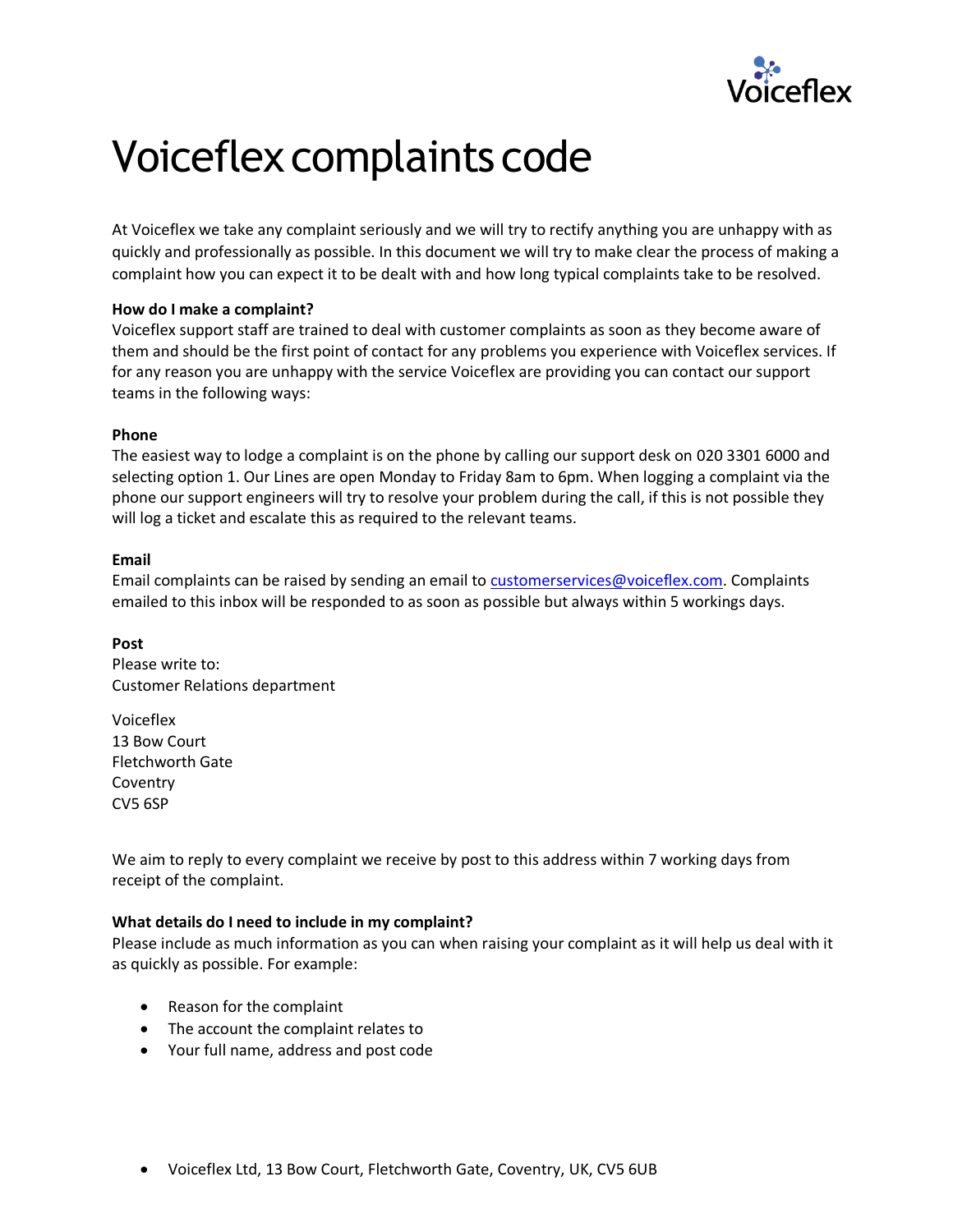

# Voiceflex complaints code

At Voiceflex we take any complaint seriously and we will try to rectify anything you are unhappy with as quickly and professionally as possible. In this document we will try to make clear the process of making a complaint how you can expect it to be dealt with and how long typical complaints take to be resolved.

# **How do I make a complaint?**

Voiceflex support staff are trained to deal with customer complaints as soon as they become aware of them and should be the first point of contact for any problems you experience with Voiceflex services. If for any reason you are unhappy with the service Voiceflex are providing you can contact our support teams in the following ways:

## **Phone**

The easiest way to lodge a complaint is on the phone by calling our support desk on 020 3301 6000 and selecting option 1. Our Lines are open Monday to Friday 8am to 6pm. When logging a complaint via the phone our support engineers will try to resolve your problem during the call, if this is not possible they will log a ticket and escalate this as required to the relevant teams.

## **Email**

Email complaints can be raised by sending an email to **customerservices@voiceflex.com**. Complaints emailed to this inbox will be responded to as soon as possible but always within 5 workings days.

**Post** Please write to:

Customer Relations department

Voiceflex 13 Bow Court Fletchworth Gate Coventry CV5 6SP

We aim to reply to every complaint we receive by post to this address within 7 working days from receipt of the complaint.

#### **What details do I need to include in my complaint?**

Please include as much information as you can when raising your complaint as it will help us deal with it as quickly as possible. For example:

- Reason for the complaint
- The account the complaint relates to
- Your full name, address and post code